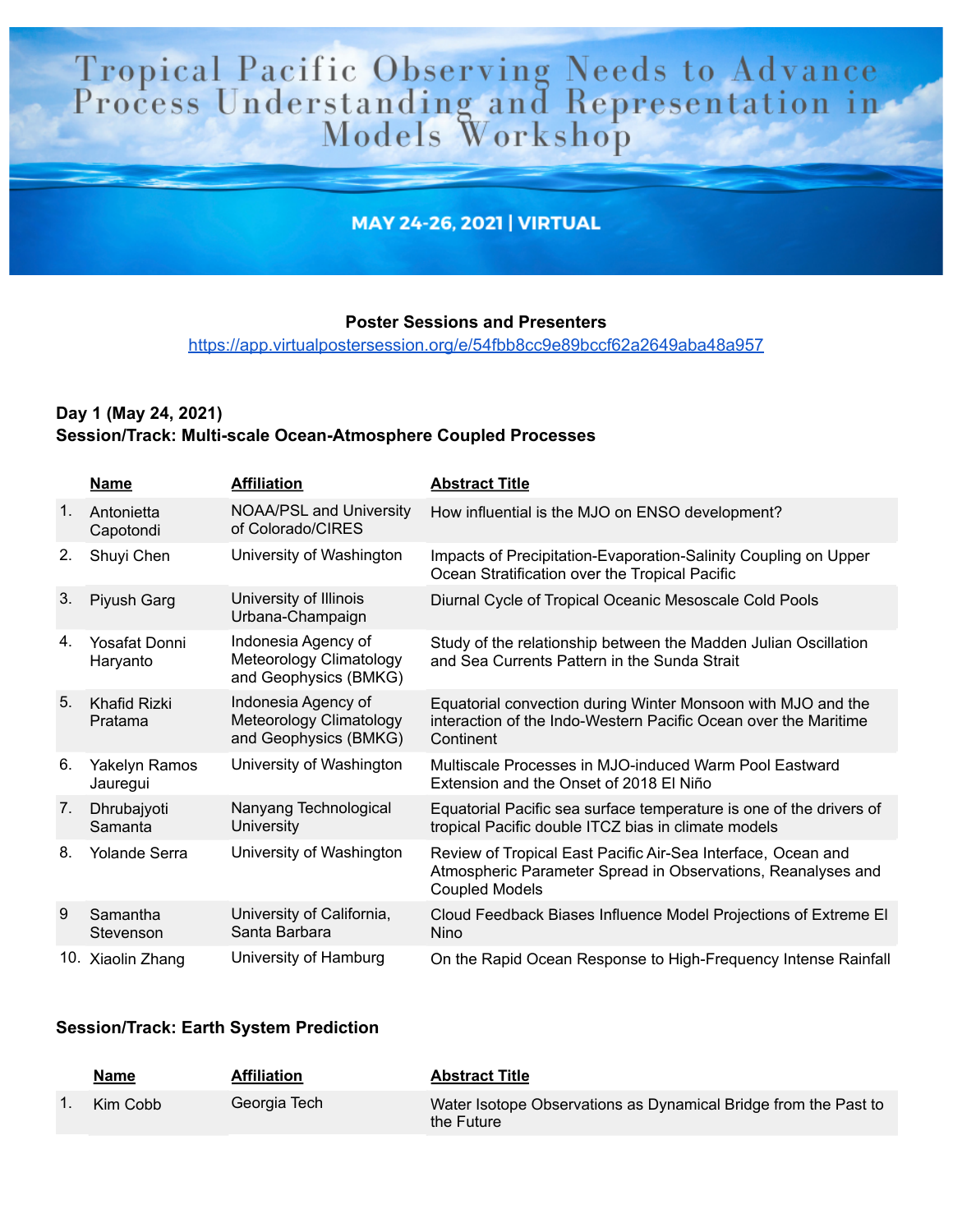# Tropical Pacific Observing Needs to Advance<br>Process Understanding and Representation in<br>Models Workshop

# **MAY 24-26, 2021 | VIRTUAL**

### **Poster Sessions and Presenters**

https://app.virtualpostersession.org/e/54fbb8cc9e89bccf62a2649aba48a957

# Day 1 (May 24, 2021) Session/Track: Multi-scale Ocean-Atmosphere Coupled Processes

|                | <b>Name</b>               | <b>Affiliation</b>                                                      | <b>Abstract Title</b>                                                                                                                                 |
|----------------|---------------------------|-------------------------------------------------------------------------|-------------------------------------------------------------------------------------------------------------------------------------------------------|
| $\mathbf{1}$ . | Antonietta<br>Capotondi   | <b>NOAA/PSL and University</b><br>of Colorado/CIRES                     | How influential is the MJO on ENSO development?                                                                                                       |
| 2.             | Shuyi Chen                | University of Washington                                                | Impacts of Precipitation-Evaporation-Salinity Coupling on Upper<br>Ocean Stratification over the Tropical Pacific                                     |
| 3.             | Piyush Garg               | University of Illinois<br>Urbana-Champaign                              | Diurnal Cycle of Tropical Oceanic Mesoscale Cold Pools                                                                                                |
| 4.             | Yosafat Donni<br>Haryanto | Indonesia Agency of<br>Meteorology Climatology<br>and Geophysics (BMKG) | Study of the relationship between the Madden Julian Oscillation<br>and Sea Currents Pattern in the Sunda Strait                                       |
| 5.             | Khafid Rizki<br>Pratama   | Indonesia Agency of<br>Meteorology Climatology<br>and Geophysics (BMKG) | Equatorial convection during Winter Monsoon with MJO and the<br>interaction of the Indo-Western Pacific Ocean over the Maritime<br>Continent          |
| 6.             | Yakelyn Ramos<br>Jauregui | University of Washington                                                | Multiscale Processes in MJO-induced Warm Pool Eastward<br>Extension and the Onset of 2018 El Niño                                                     |
| 7.             | Dhrubajyoti<br>Samanta    | Nanyang Technological<br><b>University</b>                              | Equatorial Pacific sea surface temperature is one of the drivers of<br>tropical Pacific double ITCZ bias in climate models                            |
| 8.             | <b>Yolande Serra</b>      | University of Washington                                                | Review of Tropical East Pacific Air-Sea Interface, Ocean and<br>Atmospheric Parameter Spread in Observations, Reanalyses and<br><b>Coupled Models</b> |
| 9              | Samantha<br>Stevenson     | University of California,<br>Santa Barbara                              | Cloud Feedback Biases Influence Model Projections of Extreme EI<br>Nino                                                                               |
|                | 10. Xiaolin Zhang         | University of Hamburg                                                   | On the Rapid Ocean Response to High-Frequency Intense Rainfall                                                                                        |

## **Session/Track: Earth System Prediction**

| <u>Name</u> | <b>Affiliation</b> | <b>Abstract Title</b>                                                         |
|-------------|--------------------|-------------------------------------------------------------------------------|
| Kim Cobb    | Georgia Tech       | Water Isotope Observations as Dynamical Bridge from the Past to<br>the Future |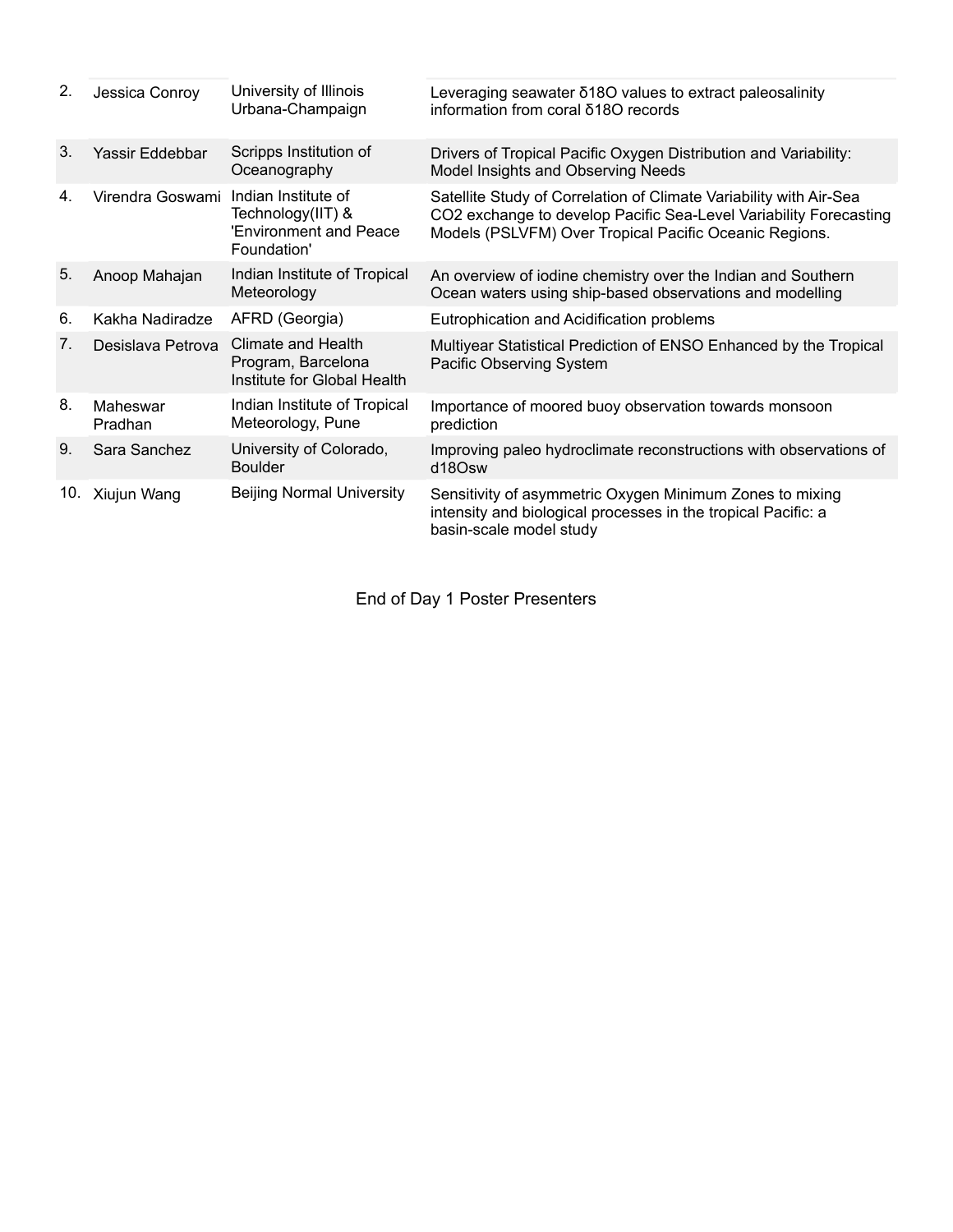| 2.  | Jessica Conroy      | University of Illinois<br>Urbana-Champaign                                        | Leveraging seawater 618O values to extract paleosalinity<br>information from coral δ18Ο records                                                                                                   |
|-----|---------------------|-----------------------------------------------------------------------------------|---------------------------------------------------------------------------------------------------------------------------------------------------------------------------------------------------|
| 3.  | Yassir Eddebbar     | Scripps Institution of<br>Oceanography                                            | Drivers of Tropical Pacific Oxygen Distribution and Variability:<br>Model Insights and Observing Needs                                                                                            |
| 4.  | Virendra Goswami    | Indian Institute of<br>Technology(IIT) &<br>'Environment and Peace<br>Foundation' | Satellite Study of Correlation of Climate Variability with Air-Sea<br>CO2 exchange to develop Pacific Sea-Level Variability Forecasting<br>Models (PSLVFM) Over Tropical Pacific Oceanic Regions. |
| 5.  | Anoop Mahajan       | Indian Institute of Tropical<br>Meteorology                                       | An overview of iodine chemistry over the Indian and Southern<br>Ocean waters using ship-based observations and modelling                                                                          |
| 6.  | Kakha Nadiradze     | AFRD (Georgia)                                                                    | Eutrophication and Acidification problems                                                                                                                                                         |
| 7.  | Desislava Petrova   | Climate and Health<br>Program, Barcelona<br>Institute for Global Health           | Multiyear Statistical Prediction of ENSO Enhanced by the Tropical<br>Pacific Observing System                                                                                                     |
| 8.  | Maheswar<br>Pradhan | Indian Institute of Tropical<br>Meteorology, Pune                                 | Importance of moored buoy observation towards monsoon<br>prediction                                                                                                                               |
| 9.  | Sara Sanchez        | University of Colorado,<br><b>Boulder</b>                                         | Improving paleo hydroclimate reconstructions with observations of<br>d18Osw                                                                                                                       |
| 10. | Xiujun Wang         | <b>Beijing Normal University</b>                                                  | Sensitivity of asymmetric Oxygen Minimum Zones to mixing<br>intensity and biological processes in the tropical Pacific: a<br>basin-scale model study                                              |

End of Day 1 Poster Presenters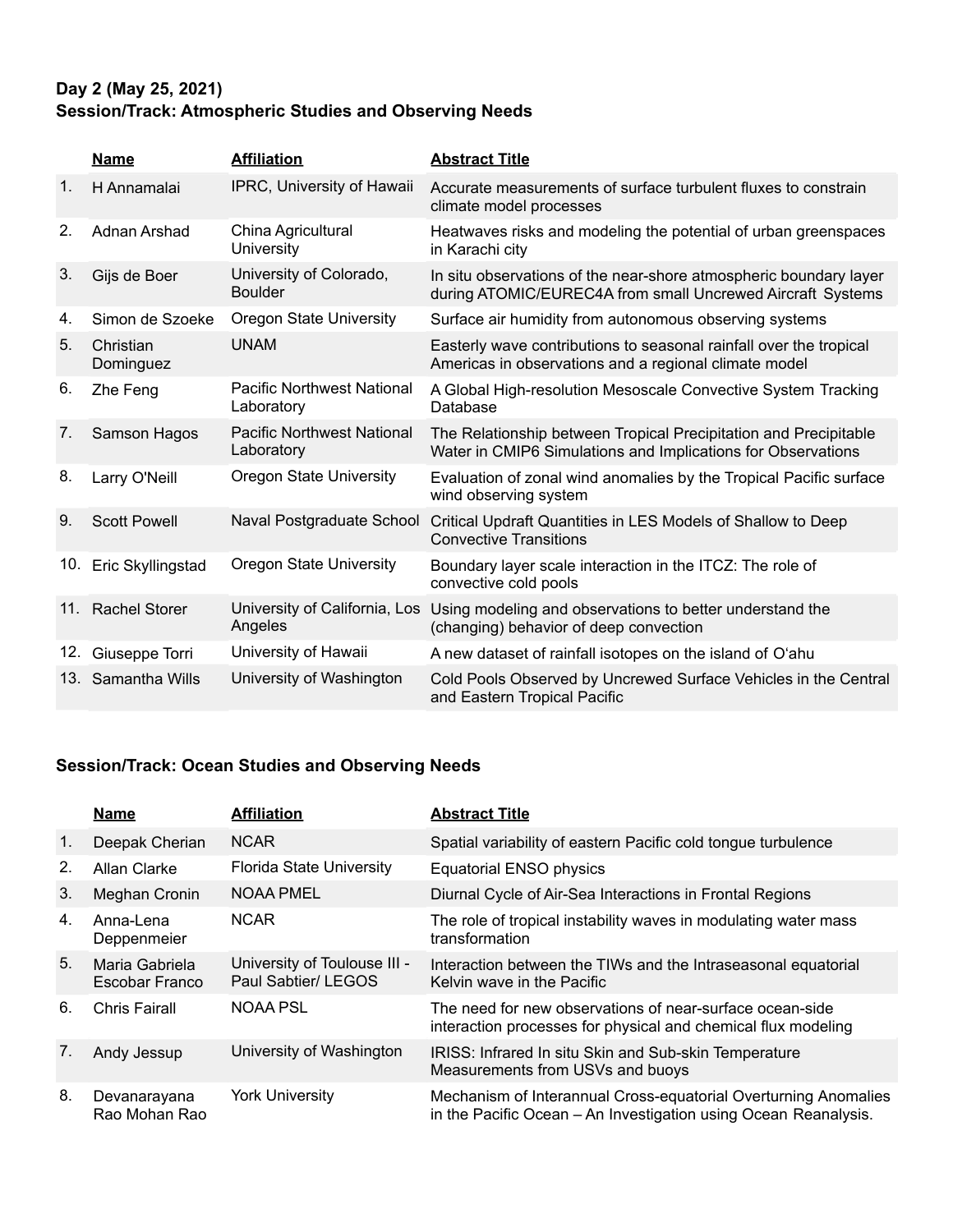# Day 2 (May 25, 2021) Session/Track: Atmospheric Studies and Observing Needs

|     | <b>Name</b>            | <b>Affiliation</b>                              | <b>Abstract Title</b>                                                                                                            |
|-----|------------------------|-------------------------------------------------|----------------------------------------------------------------------------------------------------------------------------------|
| 1.  | H Annamalai            | IPRC, University of Hawaii                      | Accurate measurements of surface turbulent fluxes to constrain<br>climate model processes                                        |
| 2.  | Adnan Arshad           | China Agricultural<br>University                | Heatwaves risks and modeling the potential of urban greenspaces<br>in Karachi city                                               |
| 3.  | Gijs de Boer           | University of Colorado,<br><b>Boulder</b>       | In situ observations of the near-shore atmospheric boundary layer<br>during ATOMIC/EUREC4A from small Uncrewed Aircraft Systems  |
| 4.  | Simon de Szoeke        | Oregon State University                         | Surface air humidity from autonomous observing systems                                                                           |
| 5.  | Christian<br>Dominguez | <b>UNAM</b>                                     | Easterly wave contributions to seasonal rainfall over the tropical<br>Americas in observations and a regional climate model      |
| 6.  | Zhe Feng               | <b>Pacific Northwest National</b><br>Laboratory | A Global High-resolution Mesoscale Convective System Tracking<br>Database                                                        |
| 7.  | Samson Hagos           | <b>Pacific Northwest National</b><br>Laboratory | The Relationship between Tropical Precipitation and Precipitable<br>Water in CMIP6 Simulations and Implications for Observations |
| 8.  | Larry O'Neill          | <b>Oregon State University</b>                  | Evaluation of zonal wind anomalies by the Tropical Pacific surface<br>wind observing system                                      |
| 9.  | <b>Scott Powell</b>    | Naval Postgraduate School                       | Critical Updraft Quantities in LES Models of Shallow to Deep<br><b>Convective Transitions</b>                                    |
| 10. | Eric Skyllingstad      | <b>Oregon State University</b>                  | Boundary layer scale interaction in the ITCZ: The role of<br>convective cold pools                                               |
| 11. | <b>Rachel Storer</b>   | University of California, Los<br>Angeles        | Using modeling and observations to better understand the<br>(changing) behavior of deep convection                               |
| 12. | Giuseppe Torri         | University of Hawaii                            | A new dataset of rainfall isotopes on the island of O'ahu                                                                        |
|     | 13. Samantha Wills     | University of Washington                        | Cold Pools Observed by Uncrewed Surface Vehicles in the Central<br>and Eastern Tropical Pacific                                  |

# **Session/Track: Ocean Studies and Observing Needs**

|                | <b>Name</b>                      | <b>Affiliation</b>                                  | <b>Abstract Title</b>                                                                                                              |
|----------------|----------------------------------|-----------------------------------------------------|------------------------------------------------------------------------------------------------------------------------------------|
| $\mathbf{1}$ . | Deepak Cherian                   | <b>NCAR</b>                                         | Spatial variability of eastern Pacific cold tongue turbulence                                                                      |
| 2.             | Allan Clarke                     | <b>Florida State University</b>                     | <b>Equatorial ENSO physics</b>                                                                                                     |
| 3.             | Meghan Cronin                    | NOAA PMEL                                           | Diurnal Cycle of Air-Sea Interactions in Frontal Regions                                                                           |
| 4.             | Anna-Lena<br>Deppenmeier         | <b>NCAR</b>                                         | The role of tropical instability waves in modulating water mass<br>transformation                                                  |
| 5 <sub>1</sub> | Maria Gabriela<br>Escobar Franco | University of Toulouse III -<br>Paul Sabtier/ LEGOS | Interaction between the TIWs and the Intraseasonal equatorial<br>Kelvin wave in the Pacific                                        |
| 6.             | Chris Fairall                    | NOAA PSL                                            | The need for new observations of near-surface ocean-side<br>interaction processes for physical and chemical flux modeling          |
| 7.             | Andy Jessup                      | University of Washington                            | IRISS: Infrared In situ Skin and Sub-skin Temperature<br>Measurements from USVs and buoys                                          |
| 8.             | Devanarayana<br>Rao Mohan Rao    | <b>York University</b>                              | Mechanism of Interannual Cross-equatorial Overturning Anomalies<br>in the Pacific Ocean - An Investigation using Ocean Reanalysis. |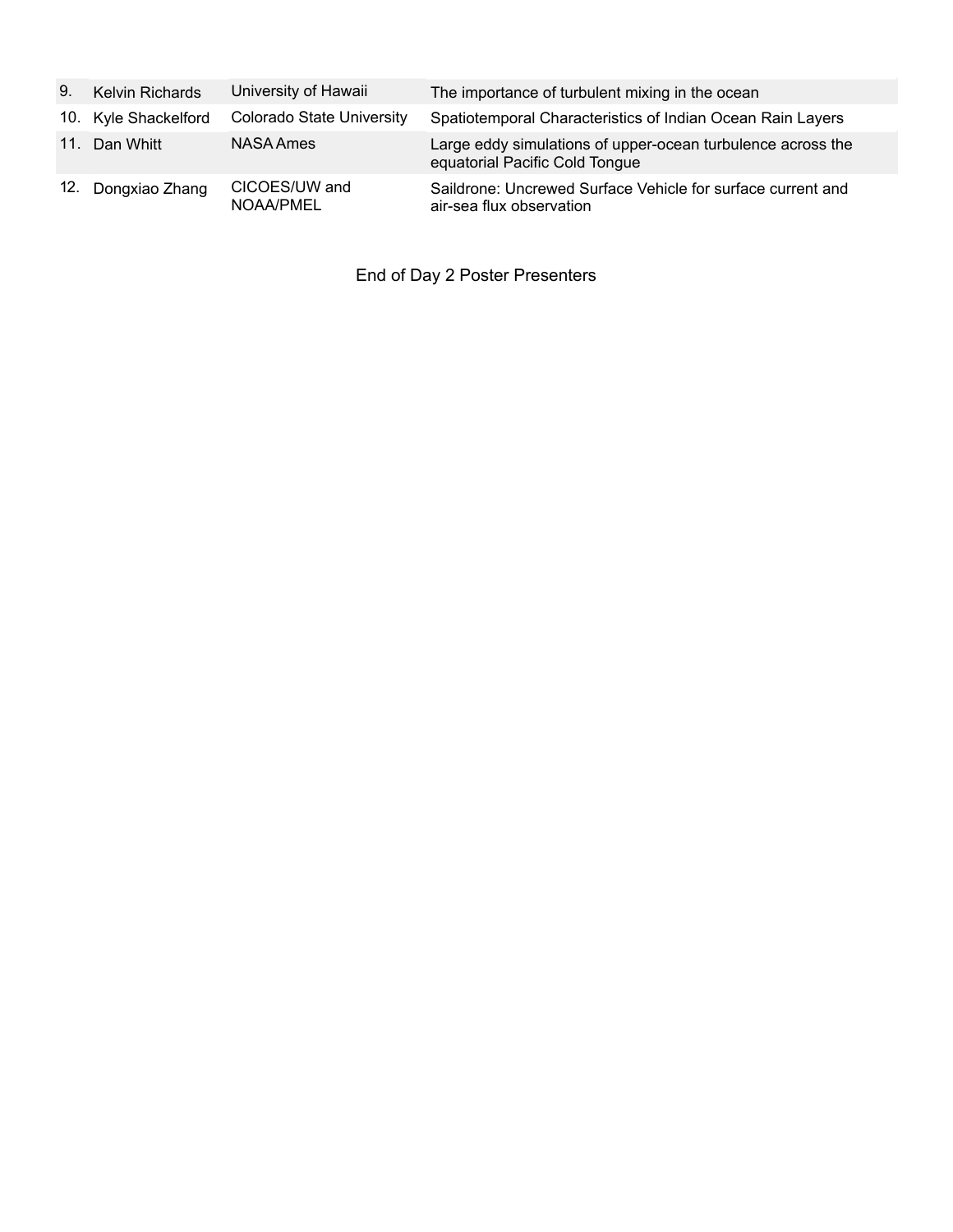| 9.   | <b>Kelvin Richards</b> | University of Hawaii             | The importance of turbulent mixing in the ocean                                               |
|------|------------------------|----------------------------------|-----------------------------------------------------------------------------------------------|
|      | 10. Kyle Shackelford   | <b>Colorado State University</b> | Spatiotemporal Characteristics of Indian Ocean Rain Layers                                    |
| 11.1 | Dan Whitt              | NASA Ames                        | Large eddy simulations of upper-ocean turbulence across the<br>equatorial Pacific Cold Tongue |
|      | 12. Dongxiao Zhang     | CICOES/UW and<br>NOAA/PMEL       | Saildrone: Uncrewed Surface Vehicle for surface current and<br>air-sea flux observation       |

End of Day 2 Poster Presenters